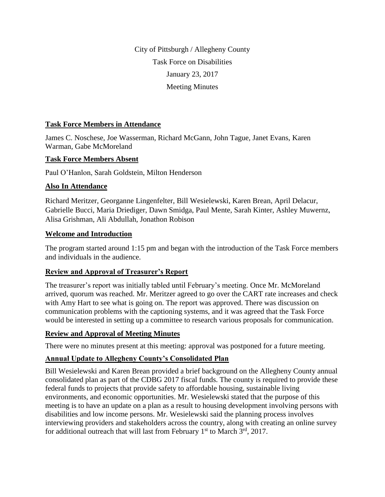City of Pittsburgh / Allegheny County Task Force on Disabilities January 23, 2017 Meeting Minutes

#### **Task Force Members in Attendance**

James C. Noschese, Joe Wasserman, Richard McGann, John Tague, Janet Evans, Karen Warman, Gabe McMoreland

#### **Task Force Members Absent**

Paul O'Hanlon, Sarah Goldstein, Milton Henderson

## **Also In Attendance**

Richard Meritzer, Georganne Lingenfelter, Bill Wesielewski, Karen Brean, April Delacur, Gabrielle Bucci, Maria Driediger, Dawn Smidga, Paul Mente, Sarah Kinter, Ashley Muwernz, Alisa Grishman, Ali Abdullah, Jonathon Robison

#### **Welcome and Introduction**

The program started around 1:15 pm and began with the introduction of the Task Force members and individuals in the audience.

## **Review and Approval of Treasurer's Report**

The treasurer's report was initially tabled until February's meeting. Once Mr. McMoreland arrived, quorum was reached. Mr. Meritzer agreed to go over the CART rate increases and check with Amy Hart to see what is going on. The report was approved. There was discussion on communication problems with the captioning systems, and it was agreed that the Task Force would be interested in setting up a committee to research various proposals for communication.

## **Review and Approval of Meeting Minutes**

There were no minutes present at this meeting: approval was postponed for a future meeting.

## **Annual Update to Allegheny County's Consolidated Plan**

Bill Wesielewski and Karen Brean provided a brief background on the Allegheny County annual consolidated plan as part of the CDBG 2017 fiscal funds. The county is required to provide these federal funds to projects that provide safety to affordable housing, sustainable living environments, and economic opportunities. Mr. Wesielewski stated that the purpose of this meeting is to have an update on a plan as a result to housing development involving persons with disabilities and low income persons. Mr. Wesielewski said the planning process involves interviewing providers and stakeholders across the country, along with creating an online survey for additional outreach that will last from February  $1<sup>st</sup>$  to March  $3<sup>rd</sup>$ , 2017.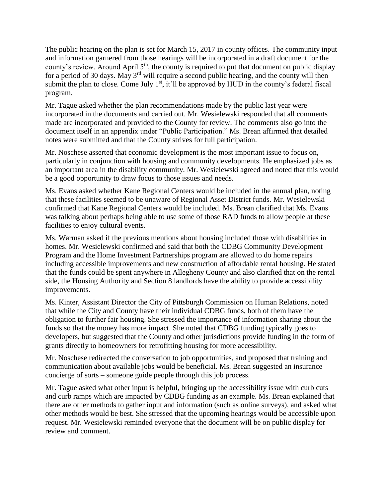The public hearing on the plan is set for March 15, 2017 in county offices. The community input and information garnered from those hearings will be incorporated in a draft document for the county's review. Around April  $5<sup>th</sup>$ , the county is required to put that document on public display for a period of 30 days. May  $3<sup>rd</sup>$  will require a second public hearing, and the county will then submit the plan to close. Come July  $1<sup>st</sup>$ , it'll be approved by HUD in the county's federal fiscal program.

Mr. Tague asked whether the plan recommendations made by the public last year were incorporated in the documents and carried out. Mr. Wesielewski responded that all comments made are incorporated and provided to the County for review. The comments also go into the document itself in an appendix under "Public Participation." Ms. Brean affirmed that detailed notes were submitted and that the County strives for full participation.

Mr. Noschese asserted that economic development is the most important issue to focus on, particularly in conjunction with housing and community developments. He emphasized jobs as an important area in the disability community. Mr. Wesielewski agreed and noted that this would be a good opportunity to draw focus to those issues and needs.

Ms. Evans asked whether Kane Regional Centers would be included in the annual plan, noting that these facilities seemed to be unaware of Regional Asset District funds. Mr. Wesielewski confirmed that Kane Regional Centers would be included. Ms. Brean clarified that Ms. Evans was talking about perhaps being able to use some of those RAD funds to allow people at these facilities to enjoy cultural events.

Ms. Warman asked if the previous mentions about housing included those with disabilities in homes. Mr. Wesielewski confirmed and said that both the CDBG Community Development Program and the Home Investment Partnerships program are allowed to do home repairs including accessible improvements and new construction of affordable rental housing. He stated that the funds could be spent anywhere in Allegheny County and also clarified that on the rental side, the Housing Authority and Section 8 landlords have the ability to provide accessibility improvements.

Ms. Kinter, Assistant Director the City of Pittsburgh Commission on Human Relations, noted that while the City and County have their individual CDBG funds, both of them have the obligation to further fair housing. She stressed the importance of information sharing about the funds so that the money has more impact. She noted that CDBG funding typically goes to developers, but suggested that the County and other jurisdictions provide funding in the form of grants directly to homeowners for retrofitting housing for more accessibility.

Mr. Noschese redirected the conversation to job opportunities, and proposed that training and communication about available jobs would be beneficial. Ms. Brean suggested an insurance concierge of sorts – someone guide people through this job process.

Mr. Tague asked what other input is helpful, bringing up the accessibility issue with curb cuts and curb ramps which are impacted by CDBG funding as an example. Ms. Brean explained that there are other methods to gather input and information (such as online surveys), and asked what other methods would be best. She stressed that the upcoming hearings would be accessible upon request. Mr. Wesielewski reminded everyone that the document will be on public display for review and comment.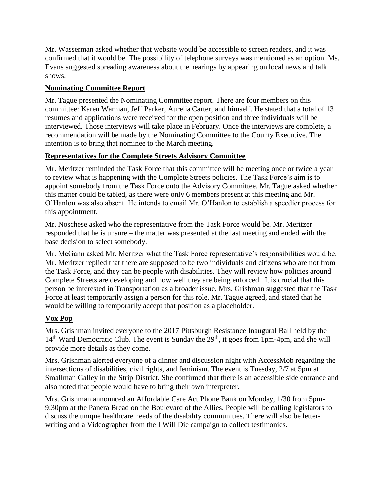Mr. Wasserman asked whether that website would be accessible to screen readers, and it was confirmed that it would be. The possibility of telephone surveys was mentioned as an option. Ms. Evans suggested spreading awareness about the hearings by appearing on local news and talk shows.

# **Nominating Committee Report**

Mr. Tague presented the Nominating Committee report. There are four members on this committee: Karen Warman, Jeff Parker, Aurelia Carter, and himself. He stated that a total of 13 resumes and applications were received for the open position and three individuals will be interviewed. Those interviews will take place in February. Once the interviews are complete, a recommendation will be made by the Nominating Committee to the County Executive. The intention is to bring that nominee to the March meeting.

## **Representatives for the Complete Streets Advisory Committee**

Mr. Meritzer reminded the Task Force that this committee will be meeting once or twice a year to review what is happening with the Complete Streets policies. The Task Force's aim is to appoint somebody from the Task Force onto the Advisory Committee. Mr. Tague asked whether this matter could be tabled, as there were only 6 members present at this meeting and Mr. O'Hanlon was also absent. He intends to email Mr. O'Hanlon to establish a speedier process for this appointment.

Mr. Noschese asked who the representative from the Task Force would be. Mr. Meritzer responded that he is unsure – the matter was presented at the last meeting and ended with the base decision to select somebody.

Mr. McGann asked Mr. Meritzer what the Task Force representative's responsibilities would be. Mr. Meritzer replied that there are supposed to be two individuals and citizens who are not from the Task Force, and they can be people with disabilities. They will review how policies around Complete Streets are developing and how well they are being enforced. It is crucial that this person be interested in Transportation as a broader issue. Mrs. Grishman suggested that the Task Force at least temporarily assign a person for this role. Mr. Tague agreed, and stated that he would be willing to temporarily accept that position as a placeholder.

## **Vox Pop**

Mrs. Grishman invited everyone to the 2017 Pittsburgh Resistance Inaugural Ball held by the  $14<sup>th</sup>$  Ward Democratic Club. The event is Sunday the  $29<sup>th</sup>$ , it goes from 1pm-4pm, and she will provide more details as they come.

Mrs. Grishman alerted everyone of a dinner and discussion night with AccessMob regarding the intersections of disabilities, civil rights, and feminism. The event is Tuesday, 2/7 at 5pm at Smallman Galley in the Strip District. She confirmed that there is an accessible side entrance and also noted that people would have to bring their own interpreter.

Mrs. Grishman announced an Affordable Care Act Phone Bank on Monday, 1/30 from 5pm-9:30pm at the Panera Bread on the Boulevard of the Allies. People will be calling legislators to discuss the unique healthcare needs of the disability communities. There will also be letterwriting and a Videographer from the I Will Die campaign to collect testimonies.